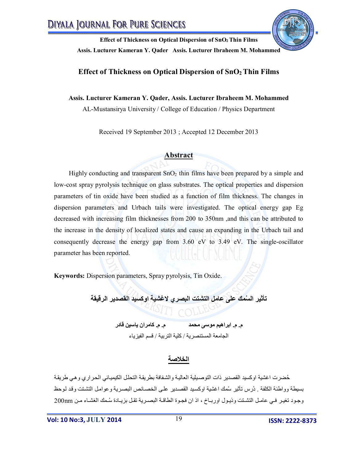

### **Effect of Thickness on Optical Dispersion of SnO2 Thin Films**

#### **Assis. Lucturer Kameran Y. Qader, Assis. Lucturer Ibraheem M. Mohammed**

AL-Mustansirya University / College of Education / Physics Department

Received 19 September 2013 ; Accepted 12 December 2013

#### **Abstract**

Highly conducting and transparent  $SnO<sub>2</sub>$  thin films have been prepared by a simple and low-cost spray pyrolysis technique on glass substrates. The optical properties and dispersion parameters of tin oxide have been studied as a function of film thickness. The changes in dispersion parameters and Urbach tails were investigated. The optical energy gap Eg decreased with increasing film thicknesses from 200 to 350nm ,and this can be attributed to the increase in the density of localized states and cause an expanding in the Urbach tail and consequently decrease the energy gap from 3.60 eV to 3.49 eV. The single-oscillator parameter has been reported.

**Keywords:** Dispersion parameters, Spray pyrolysis, Tin Oxide.

**تأثیر ال ُسمك على عامل التشتت البصري لاغشیة اوكسید القصدیر الرقیقة** 

**م. م. ابراھیم موسى محمد م. م. كامران یاسین قادر**  الجامعة المستنصریة / كلیة التربیة / قسم الفیزیاء

### **الخلاصة**

حُضرت اغشیة اوكسید القصدیر ذات التوصیلیة العالیـة والشفافة بطریقة التحلل الكیمیـائي الحراري وهي طریقـة بسیطة وواطئة الكلفة . دُرس تأثیر سُمك اغشیة اوكسید القصدیر علمى الخصائص البصریة وعوامل التشتت وقد لوحظ وجود تغیر فمي عامل التشتت وذیول اورباخ ، اذ ان فجوة الطاقـة البصریة تقل بزیـادة سُـمك الغشـاء من 200nm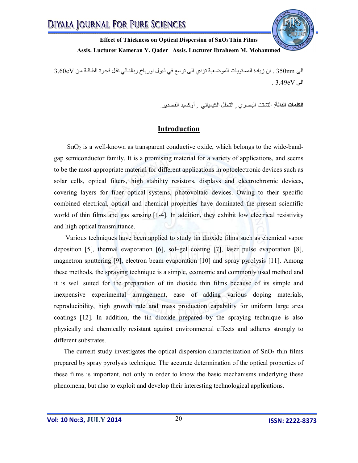

الى 350nm . ان زيادة المستويات الموضعية تؤدي الى توسع في ذيول اورباخ وبالتالي تقل فجوة الطاقة من 3.60eV  $.3.49 \text{eV}$  .

**الكلمات الدالة**: التشتت البصري , التحلل الكیمیائي , أوكسید القصدیر.

## **Introduction**

 SnO<sup>2</sup> is a well-known as transparent conductive oxide, which belongs to the wide-bandgap semiconductor family. It is a promising material for a variety of applications, and seems to be the most appropriate material for different applications in optoelectronic devices such as solar cells, optical filters, high stability resistors, displays and electrochromic devices**,** covering layers for fiber optical systems, photovoltaic devices. Owing to their specific combined electrical, optical and chemical properties have dominated the present scientific world of thin films and gas sensing [1-4]. In addition, they exhibit low electrical resistivity and high optical transmittance.

 Various techniques have been applied to study tin dioxide films such as chemical vapor deposition [5], thermal evaporation [6], sol–gel coating [7], laser pulse evaporation [8], magnetron sputtering [9], electron beam evaporation [10] and spray pyrolysis [11]. Among these methods, the spraying technique is a simple, economic and commonly used method and it is well suited for the preparation of tin dioxide thin films because of its simple and inexpensive experimental arrangement, ease of adding various doping materials, reproducibility, high growth rate and mass production capability for uniform large area coatings [12]. In addition, the tin dioxide prepared by the spraying technique is also physically and chemically resistant against environmental effects and adheres strongly to different substrates.

The current study investigates the optical dispersion characterization of  $SnO<sub>2</sub>$  thin films prepared by spray pyrolysis technique. The accurate determination of the optical properties of these films is important, not only in order to know the basic mechanisms underlying these phenomena, but also to exploit and develop their interesting technological applications.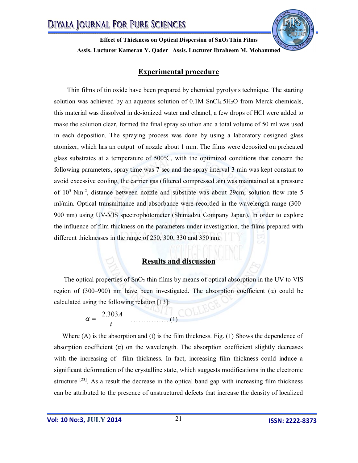# **Experimental procedure**

Thin films of tin oxide have been prepared by chemical pyrolysis technique. The starting solution was achieved by an aqueous solution of  $0.1M$  SnCl<sub>4</sub>.5H<sub>2</sub>O from Merck chemicals, this material was dissolved in de-ionized water and ethanol, a few drops of HCl were added to make the solution clear, formed the final spray solution and a total volume of 50 ml was used in each deposition. The spraying process was done by using a laboratory designed glass atomizer, which has an output of nozzle about 1 mm. The films were deposited on preheated glass substrates at a temperature of 500°C, with the optimized conditions that concern the following parameters, spray time was 7 sec and the spray interval 3 min was kept constant to avoid excessive cooling, the carrier gas (filtered compressed air) was maintained at a pressure of  $10^5$  Nm<sup>-2</sup>, distance between nozzle and substrate was about 29cm, solution flow rate 5 ml/min. Optical transmittance and absorbance were recorded in the wavelength range (300- 900 nm) using UV-VIS spectrophotometer (Shimadzu Company Japan). In order to explore the influence of film thickness on the parameters under investigation, the films prepared with different thicknesses in the range of 250, 300, 330 and 350 nm.

### **Results and discussion**

The optical properties of  $SnO<sub>2</sub>$  thin films by means of optical absorption in the UV to VIS region of (300–900) nm have been investigated. The absorption coefficient ( $\alpha$ ) could be calculated using the following relation [13]:

$$
\alpha = \frac{2.303A}{t}
$$
 1 (1)

Where  $(A)$  is the absorption and  $(t)$  is the film thickness. Fig.  $(1)$  Shows the dependence of absorption coefficient  $(\alpha)$  on the wavelength. The absorption coefficient slightly decreases with the increasing of film thickness. In fact, increasing film thickness could induce a significant deformation of the crystalline state, which suggests modifications in the electronic structure  $[23]$ . As a result the decrease in the optical band gap with increasing film thickness can be attributed to the presence of unstructured defects that increase the density of localized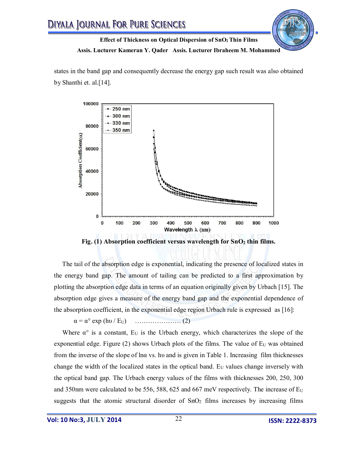

states in the band gap and consequently decrease the energy gap such result was also obtained by Shanthi et. al.[14].



**Fig. (1) Absorption coefficient versus wavelength for SnO<sup>2</sup> thin films.**

 The tail of the absorption edge is exponential, indicating the presence of localized states in the energy band gap. The amount of tailing can be predicted to a first approximation by plotting the absorption edge data in terms of an equation originally given by Urbach [15]. The absorption edge gives a measure of the energy band gap and the exponential dependence of the absorption coefficient, in the exponential edge region Urbach rule is expressed as [16]:

α = α° exp (hυ / EU) ………………… (2)

Where  $\alpha^{\circ}$  is a constant, E<sub>U</sub> is the Urbach energy, which characterizes the slope of the exponential edge. Figure  $(2)$  shows Urbach plots of the films. The value of  $E_U$  was obtained from the inverse of the slope of lna vs. hu and is given in Table 1. Increasing film thicknesses change the width of the localized states in the optical band.  $E_U$  values change inversely with the optical band gap. The Urbach energy values of the films with thicknesses 200, 250, 300 and 350nm were calculated to be 556, 588, 625 and 667 meV respectively. The increase of  $E_U$ suggests that the atomic structural disorder of  $SnO<sub>2</sub>$  films increases by increasing films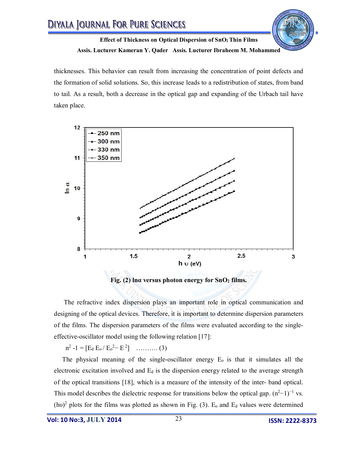

thicknesses. This behavior can result from increasing the concentration of point defects and the formation of solid solutions. So, this increase leads to a redistribution of states, from band to tail. As a result, both a decrease in the optical gap and expanding of the Urbach tail have taken place.



 The refractive index dispersion plays an important role in optical communication and designing of the optical devices. Therefore, it is important to determine dispersion parameters of the films. The dispersion parameters of the films were evaluated according to the singleeffective-oscillator model using the following relation [17]:

 $n^2 - 1 = [E_d E_o / E_o^2 - E^2]$  ……….. (3)

The physical meaning of the single-oscillator energy  $E_0$  is that it simulates all the electronic excitation involved and  $E_d$  is the dispersion energy related to the average strength of the optical transitions [18], which is a measure of the intensity of the inter- band optical. This model describes the dielectric response for transitions below the optical gap.  $(n^2-1)^{-1}$  vs.  $(hv)^2$  plots for the films was plotted as shown in Fig. (3). E<sub>o</sub> and E<sub>d</sub> values were determined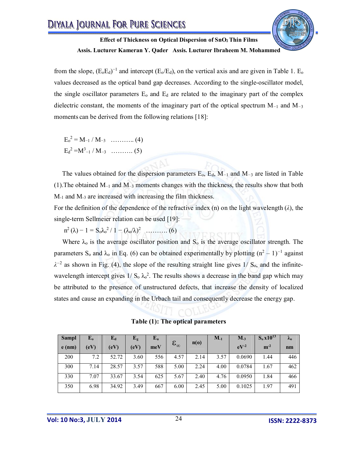

from the slope,  $(E_0E_d)^{-1}$  and intercept ( $E_0/E_d$ ), on the vertical axis and are given in Table 1.  $E_0$ values decreased as the optical band gap decreases. According to the single-oscillator model, the single oscillator parameters  $E_0$  and  $E_d$  are related to the imaginary part of the complex dielectric constant, the moments of the imaginary part of the optical spectrum M*−*<sup>1</sup> and M*−*<sup>3</sup> moments can be derived from the following relations [18]:

 $E_0^2 = M_{-1} / M_{-3}$  ………….. (4)  $\text{E}_{d}^{2} = M^{3}{}_{-1} / M_{-3} \dots \dots \dots \dots (5)$ 

 The values obtained for the dispersion parameters Eo, Ed, M*−*<sup>1</sup> and M*−*<sup>3</sup> are listed in Table (1).The obtained M−1 and M−3 moments changes with the thickness, the results show that both M-1 and M-3 are increased with increasing the film thickness.

For the definition of the dependence of the refractive index (n) on the light wavelength (*λ*), the single-term Sellmeier relation can be used [19]:

 $n^2 (\lambda) - 1 = S_0 \lambda_0^2 / 1 - (\lambda_0 / \lambda)^2$  ……….. (6)

Where  $\lambda_0$  is the average oscillator position and  $S_0$  is the average oscillator strength. The parameters S<sub>o</sub> and  $\lambda_o$  in Eq. (6) can be obtained experimentally by plotting  $(n^2 - 1)^{-1}$  against  $λ^{-2}$  as shown in Fig. (4), the slope of the resulting straight line gives 1/ S<sub>o</sub>, and the infinitewavelength intercept gives  $1/\text{S}_0 \lambda_0^2$ . The results shows a decrease in the band gap which may be attributed to the presence of unstructured defects, that increase the density of localized states and cause an expanding in the Urbach tail and consequently decrease the energy gap.

**Table (1): The optical parameters**

| <b>Sampl</b> | ${\bf E_o}$ | $E_d$ | $E_{g}$   | $E_u$ |                     |      | $M_{-1}$ | $M_{-3}$  | $S_0 x 10^{13}$ | $\mathbf{v}_0$ |
|--------------|-------------|-------|-----------|-------|---------------------|------|----------|-----------|-----------------|----------------|
| $e$ (nm)     | (eV)        | (eV)  | $\rm(eV)$ | meV   | $\epsilon_{\infty}$ | n(o) |          | $eV^{-2}$ | $m^{-2}$        | n <sub>m</sub> |
| 200          | 7.2         | 52.72 | 3.60      | 556   | 4.57                | 2.14 | 3.57     | 0.0690    | 1.44            | 446            |
| 300          | 7.14        | 28.57 | 3.57      | 588   | 5.00                | 2.24 | 4.00     | 0.0784    | 1.67            | 462            |
| 330          | 7.07        | 33.67 | 3.54      | 625   | 5.67                | 2.40 | 4.76     | 0.0950    | 1.84            | 466            |
| 350          | 6.98        | 34.92 | 3.49      | 667   | 6.00                | 2.45 | 5.00     | 0.1025    | 1.97            | 491            |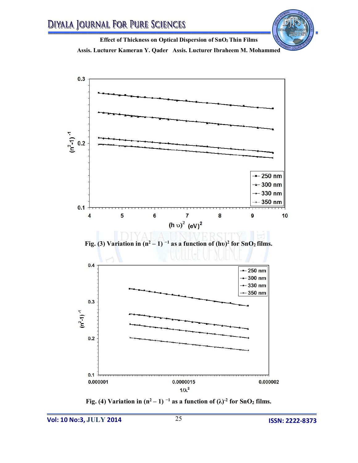



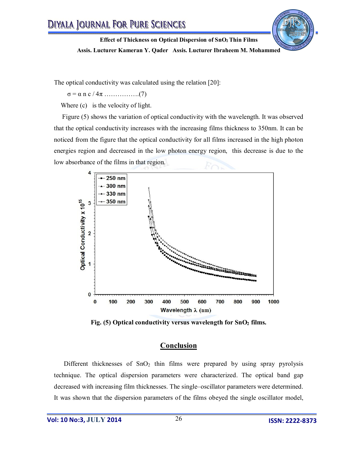

The optical conductivity was calculated using the relation [20]:

σ = α n c / 4π …………….(7)

Where  $(c)$  is the velocity of light.

 Figure (5) shows the variation of optical conductivity with the wavelength. It was observed that the optical conductivity increases with the increasing films thickness to 350nm. It can be noticed from the figure that the optical conductivity for all films increased in the high photon energies region and decreased in the low photon energy region, this decrease is due to the low absorbance of the films in that region.



**Fig. (5) Optical conductivity versus wavelength for SnO<sup>2</sup> films.**

# **Conclusion**

Different thicknesses of SnO<sub>2</sub> thin films were prepared by using spray pyrolysis technique. The optical dispersion parameters were characterized. The optical band gap decreased with increasing film thicknesses. The single–oscillator parameters were determined. It was shown that the dispersion parameters of the films obeyed the single oscillator model,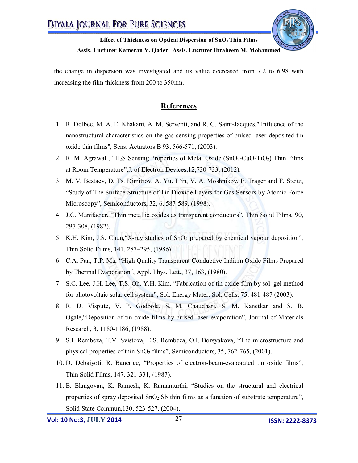

the change in dispersion was investigated and its value decreased from 7.2 to 6.98 with increasing the film thickness from 200 to 350nm.

# **References**

- 1. R. Dolbec, M. A. El Khakani, A. M. Serventi, and R. G. Saint-Jacques," Influence of the nanostructural characteristics on the gas sensing properties of pulsed laser deposited tin oxide thin films", Sens. Actuators B 93, 566-571, (2003).
- 2. R. M. Agrawal," H<sub>2</sub>S Sensing Properties of Metal Oxide (SnO<sub>2</sub>-CuO-TiO<sub>2</sub>) Thin Films at Room Temperature",J. of Electron Devices,12,730-733, (2012).
- 3. M. V. Bestaev, D. Ts. Dimitrov, A. Yu. Il'in, V. A. Moshnikov, F. Trager and F. Steitz, "Study of The Surface Structure of Tin Dioxide Layers for Gas Sensors by Atomic Force Microscopy", Semiconductors, 32, 6, 587-589, (1998).
- 4. J.C. Manifacier, "Thin metallic oxides as transparent conductors", Thin Solid Films, 90, 297-308, (1982).
- 5. K.H. Kim, J.S. Chun, "X-ray studies of SnO<sub>2</sub> prepared by chemical vapour deposition", Thin Solid Films, 141, 287–295, (1986).
- 6. C.A. Pan, T.P. Ma, "High Quality Transparent Conductive Indium Oxide Films Prepared by Thermal Evaporation", Appl. Phys. Lett., 37, 163, (1980).
- 7. S.C. Lee, J.H. Lee, T.S. Oh, Y.H. Kim, "Fabrication of tin oxide film by sol–gel method for photovoltaic solar cell system", Sol. Energy Mater. Sol. Cells, 75, 481-487 (2003).
- 8. R. D. Vispute, V. P. Godbole, S. M. Chaudhari, S. M. Kanetkar and S. B. Ogale,"Deposition of tin oxide films by pulsed laser evaporation", Journal of Materials Research, 3, 1180-1186, (1988).
- 9. S.I. Rembeza, T.V. Svistova, E.S. Rembeza, O.I. Borsyakova, "The microstructure and physical properties of thin  $SnO<sub>2</sub>$  films", Semiconductors, 35, 762-765, (2001).
- 10. D. Debajyoti, R. Banerjee, "Properties of electron-beam-evaporated tin oxide films", Thin Solid Films, 147, 321-331, (1987).
- 11. E. Elangovan, K. Ramesh, K. Ramamurthi, "Studies on the structural and electrical properties of spray deposited SnO2:Sb thin films as a function of substrate temperature", Solid State Commun,130, 523-527, (2004).